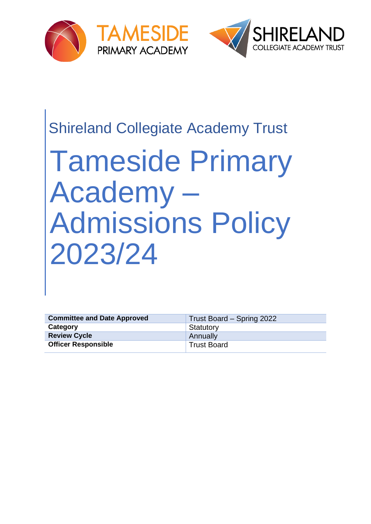



# Shireland Collegiate Academy Trust

# Tameside Primary Academy – Admissions Policy 2023/24

| <b>Committee and Date Approved</b> | Trust Board – Spring 2022 |
|------------------------------------|---------------------------|
| Category                           | Statutory                 |
| <b>Review Cycle</b>                | Annually                  |
| <b>Officer Responsible</b>         | <b>Trust Board</b>        |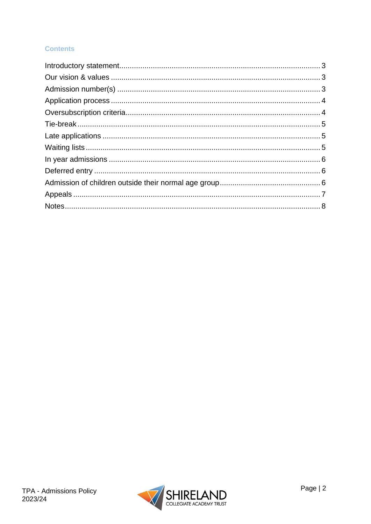#### **Contents**

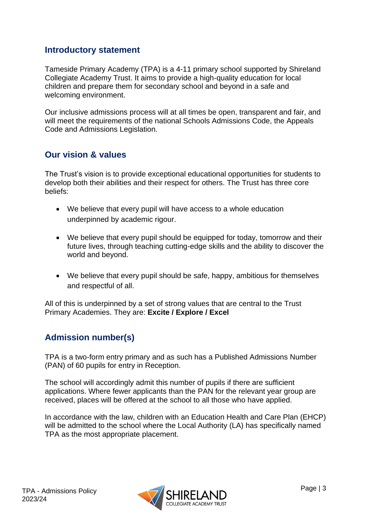#### <span id="page-2-0"></span>**Introductory statement**

Tameside Primary Academy (TPA) is a 4-11 primary school supported by Shireland Collegiate Academy Trust. It aims to provide a high-quality education for local children and prepare them for secondary school and beyond in a safe and welcoming environment.

Our inclusive admissions process will at all times be open, transparent and fair, and will meet the requirements of the national Schools Admissions Code, the Appeals Code and Admissions Legislation.

#### <span id="page-2-1"></span>**Our vision & values**

The Trust's vision is to provide exceptional educational opportunities for students to develop both their abilities and their respect for others. The Trust has three core beliefs:

- We believe that every pupil will have access to a whole education underpinned by academic rigour.
- We believe that every pupil should be equipped for today, tomorrow and their future lives, through teaching cutting-edge skills and the ability to discover the world and beyond.
- We believe that every pupil should be safe, happy, ambitious for themselves and respectful of all.

All of this is underpinned by a set of strong values that are central to the Trust Primary Academies. They are: **Excite / Explore / Excel**

#### <span id="page-2-2"></span>**Admission number(s)**

TPA is a two-form entry primary and as such has a Published Admissions Number (PAN) of 60 pupils for entry in Reception.

The school will accordingly admit this number of pupils if there are sufficient applications. Where fewer applicants than the PAN for the relevant year group are received, places will be offered at the school to all those who have applied.

In accordance with the law, children with an Education Health and Care Plan (EHCP) will be admitted to the school where the Local Authority (LA) has specifically named TPA as the most appropriate placement.

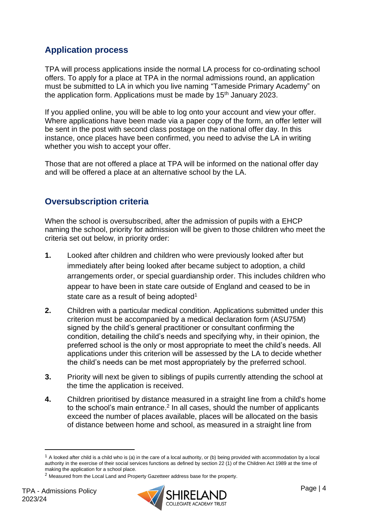### <span id="page-3-0"></span>**Application process**

TPA will process applications inside the normal LA process for co-ordinating school offers. To apply for a place at TPA in the normal admissions round, an application must be submitted to LA in which you live naming "Tameside Primary Academy" on the application form. Applications must be made by  $15<sup>th</sup>$  January 2023.

If you applied online, you will be able to log onto your account and view your offer. Where applications have been made via a paper copy of the form, an offer letter will be sent in the post with second class postage on the national offer day. In this instance, once places have been confirmed, you need to advise the LA in writing whether you wish to accept your offer.

Those that are not offered a place at TPA will be informed on the national offer day and will be offered a place at an alternative school by the LA.

#### <span id="page-3-1"></span>**Oversubscription criteria**

When the school is oversubscribed, after the admission of pupils with a EHCP naming the school, priority for admission will be given to those children who meet the criteria set out below, in priority order:

- **1.** Looked after children and children who were previously looked after but immediately after being looked after became subject to adoption, a child arrangements order, or special guardianship order. This includes children who appear to have been in state care outside of England and ceased to be in state care as a result of being adopted<sup>1</sup>
- **2.** Children with a particular medical condition. Applications submitted under this criterion must be accompanied by a medical declaration form (ASU75M) signed by the child's general practitioner or consultant confirming the condition, detailing the child's needs and specifying why, in their opinion, the preferred school is the only or most appropriate to meet the child's needs. All applications under this criterion will be assessed by the LA to decide whether the child's needs can be met most appropriately by the preferred school.
- **3.** Priority will next be given to siblings of pupils currently attending the school at the time the application is received.
- **4.** Children prioritised by distance measured in a straight line from a child's home to the school's main entrance.<sup>2</sup> In all cases, should the number of applicants exceed the number of places available, places will be allocated on the basis of distance between home and school, as measured in a straight line from



 $1$  A looked after child is a child who is (a) in the care of a local authority, or (b) being provided with accommodation by a local authority in the exercise of their social services functions as defined by section 22 (1) of the Children Act 1989 at the time of making the application for a school place.

<sup>2</sup> Measured from the Local Land and Property Gazetteer address base for the property.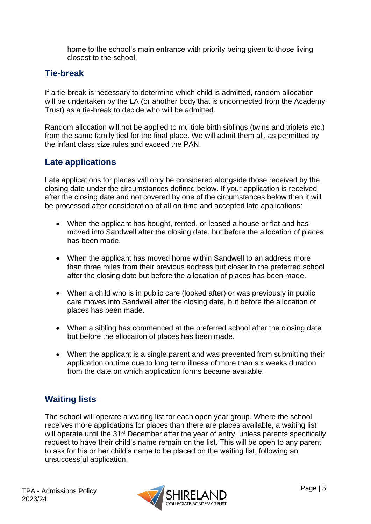home to the school's main entrance with priority being given to those living closest to the school.

#### <span id="page-4-0"></span>**Tie-break**

If a tie-break is necessary to determine which child is admitted, random allocation will be undertaken by the LA (or another body that is unconnected from the Academy Trust) as a tie-break to decide who will be admitted.

Random allocation will not be applied to multiple birth siblings (twins and triplets etc.) from the same family tied for the final place. We will admit them all, as permitted by the infant class size rules and exceed the PAN.

#### <span id="page-4-1"></span>**Late applications**

Late applications for places will only be considered alongside those received by the closing date under the circumstances defined below. If your application is received after the closing date and not covered by one of the circumstances below then it will be processed after consideration of all on time and accepted late applications:

- When the applicant has bought, rented, or leased a house or flat and has moved into Sandwell after the closing date, but before the allocation of places has been made.
- When the applicant has moved home within Sandwell to an address more than three miles from their previous address but closer to the preferred school after the closing date but before the allocation of places has been made.
- When a child who is in public care (looked after) or was previously in public care moves into Sandwell after the closing date, but before the allocation of places has been made.
- When a sibling has commenced at the preferred school after the closing date but before the allocation of places has been made.
- When the applicant is a single parent and was prevented from submitting their application on time due to long term illness of more than six weeks duration from the date on which application forms became available.

# <span id="page-4-2"></span>**Waiting lists**

The school will operate a waiting list for each open year group. Where the school receives more applications for places than there are places available, a waiting list will operate until the 31<sup>st</sup> December after the year of entry, unless parents specifically request to have their child's name remain on the list. This will be open to any parent to ask for his or her child's name to be placed on the waiting list, following an unsuccessful application.

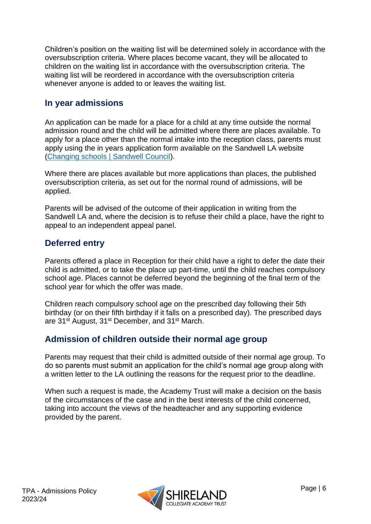Children's position on the waiting list will be determined solely in accordance with the oversubscription criteria. Where places become vacant, they will be allocated to children on the waiting list in accordance with the oversubscription criteria. The waiting list will be reordered in accordance with the oversubscription criteria whenever anyone is added to or leaves the waiting list.

#### <span id="page-5-0"></span>**In year admissions**

An application can be made for a place for a child at any time outside the normal admission round and the child will be admitted where there are places available. To apply for a place other than the normal intake into the reception class, parents must apply using the in years application form available on the Sandwell LA website [\(Changing schools | Sandwell Council\)](https://www.sandwell.gov.uk/info/200303/school_admissions/2053/changing_schools).

Where there are places available but more applications than places, the published oversubscription criteria, as set out for the normal round of admissions, will be applied.

Parents will be advised of the outcome of their application in writing from the Sandwell LA and, where the decision is to refuse their child a place, have the right to appeal to an independent appeal panel.

#### <span id="page-5-1"></span>**Deferred entry**

Parents offered a place in Reception for their child have a right to defer the date their child is admitted, or to take the place up part-time, until the child reaches compulsory school age. Places cannot be deferred beyond the beginning of the final term of the school year for which the offer was made.

Children reach compulsory school age on the prescribed day following their 5th birthday (or on their fifth birthday if it falls on a prescribed day). The prescribed days are 31<sup>st</sup> August, 31<sup>st</sup> December, and 31<sup>st</sup> March.

#### <span id="page-5-2"></span>**Admission of children outside their normal age group**

Parents may request that their child is admitted outside of their normal age group. To do so parents must submit an application for the child's normal age group along with a written letter to the LA outlining the reasons for the request prior to the deadline.

When such a request is made, the Academy Trust will make a decision on the basis of the circumstances of the case and in the best interests of the child concerned, taking into account the views of the headteacher and any supporting evidence provided by the parent.

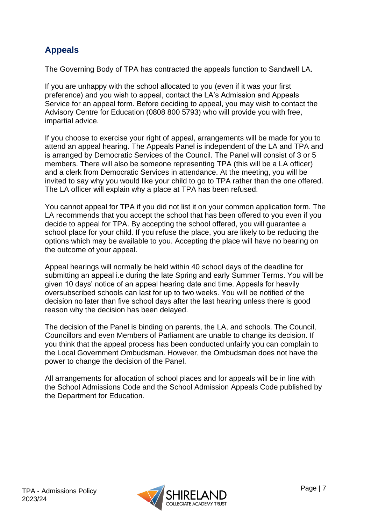# <span id="page-6-0"></span>**Appeals**

The Governing Body of TPA has contracted the appeals function to Sandwell LA.

If you are unhappy with the school allocated to you (even if it was your first preference) and you wish to appeal, contact the LA's Admission and Appeals Service for an appeal form. Before deciding to appeal, you may wish to contact the Advisory Centre for Education (0808 800 5793) who will provide you with free, impartial advice.

If you choose to exercise your right of appeal, arrangements will be made for you to attend an appeal hearing. The Appeals Panel is independent of the LA and TPA and is arranged by Democratic Services of the Council. The Panel will consist of 3 or 5 members. There will also be someone representing TPA (this will be a LA officer) and a clerk from Democratic Services in attendance. At the meeting, you will be invited to say why you would like your child to go to TPA rather than the one offered. The LA officer will explain why a place at TPA has been refused.

You cannot appeal for TPA if you did not list it on your common application form. The LA recommends that you accept the school that has been offered to you even if you decide to appeal for TPA. By accepting the school offered, you will guarantee a school place for your child. If you refuse the place, you are likely to be reducing the options which may be available to you. Accepting the place will have no bearing on the outcome of your appeal.

Appeal hearings will normally be held within 40 school days of the deadline for submitting an appeal i.e during the late Spring and early Summer Terms. You will be given 10 days' notice of an appeal hearing date and time. Appeals for heavily oversubscribed schools can last for up to two weeks. You will be notified of the decision no later than five school days after the last hearing unless there is good reason why the decision has been delayed.

The decision of the Panel is binding on parents, the LA, and schools. The Council, Councillors and even Members of Parliament are unable to change its decision. If you think that the appeal process has been conducted unfairly you can complain to the Local Government Ombudsman. However, the Ombudsman does not have the power to change the decision of the Panel.

All arrangements for allocation of school places and for appeals will be in line with the School Admissions Code and the School Admission Appeals Code published by the Department for Education.